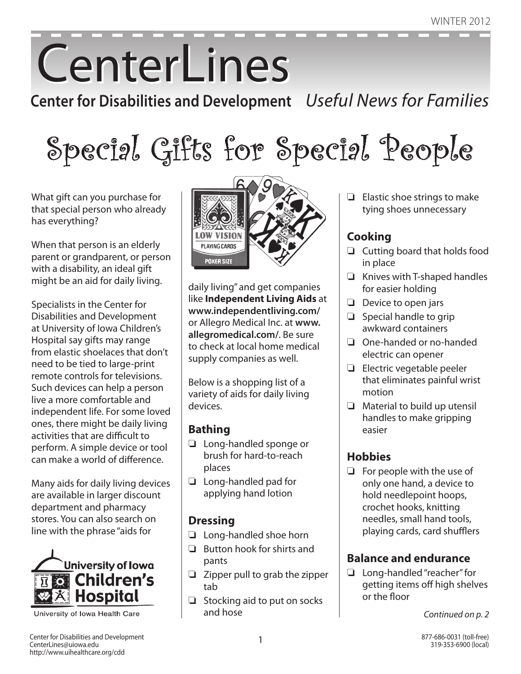# **CenterLines**

**Center for Disabilities and Development** *Useful News for Families*

Special Gifts for Special People

What gift can you purchase for that special person who already has everything?

When that person is an elderly parent or grandparent, or person with a disability, an ideal gift might be an aid for daily living.

Specialists in the Center for Disabilities and Development at University of Iowa Children's Hospital say gifts may range from elastic shoelaces that don't need to be tied to large-print remote controls for televisions. Such devices can help a person live a more comfortable and independent life. For some loved ones, there might be daily living activities that are difficult to perform. A simple device or tool can make a world of difference.

Many aids for daily living devices are available in larger discount department and pharmacy stores. You can also search on line with the phrase "aids for



University of Iowa Health Care



daily living" and get companies like **Independent Living Aids** at **www.independentliving.com/** or Allegro Medical Inc. at **www. allegromedical.com/**. Be sure to check at local home medical supply companies as well.

Below is a shopping list of a variety of aids for daily living devices.

### **Bathing**

- $\Box$  Long-handled sponge or brush for hard-to-reach places
- $\Box$  Long-handled pad for applying hand lotion

### **Dressing**

- $\Box$  Long-handled shoe horn
- $\Box$  Button hook for shirts and pants
- $\Box$  Zipper pull to grab the zipper tab
- $\Box$  Stocking aid to put on socks and hose

 $\Box$  Elastic shoe strings to make tying shoes unnecessary

### **Cooking**

- $\Box$  Cutting board that holds food in place
- $\Box$  Knives with T-shaped handles for easier holding
- $\Box$  Device to open jars
- $\Box$  Special handle to grip awkward containers
- $\Box$  One-handed or no-handed electric can opener
- $\Box$  Electric vegetable peeler that eliminates painful wrist motion
- $\Box$  Material to build up utensil handles to make gripping easier

### **Hobbies**

 $\Box$  For people with the use of only one hand, a device to hold needlepoint hoops, crochet hooks, knitting needles, small hand tools, playing cards, card shufflers

### **Balance and endurance**

 $\Box$  Long-handled "reacher" for getting items off high shelves or the floor

*Continued on p. 2*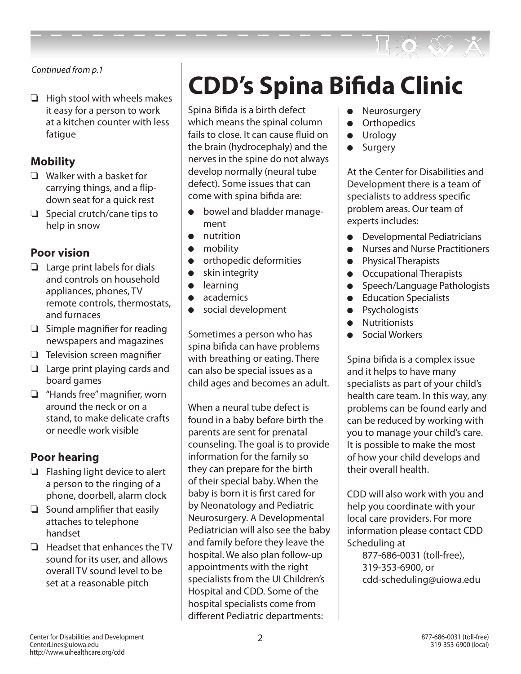

*Continued from p.1*

 $\Box$  High stool with wheels makes it easy for a person to work at a kitchen counter with less fatique

### **Mobility**

- $\Box$  Walker with a basket for carrying things, and a flipdown seat for a quick rest
- $\Box$  Special crutch/cane tips to help in snow

### **Poor vision**

- $\Box$  Large print labels for dials and controls on household appliances, phones, TV remote controls, thermostats, and furnaces
- $\Box$  Simple magnifier for reading newspapers and magazines
- $\Box$  Television screen magnifier
- $\Box$  Large print playing cards and board games
- $\Box$  "Hands free" magnifier, worn around the neck or on a stand, to make delicate crafts or needle work visible

### **Poor hearing**

- $\Box$  Flashing light device to alert a person to the ringing of a phone, doorbell, alarm clock
- $\Box$  Sound amplifier that easily attaches to telephone handset
- $\Box$  Headset that enhances the TV sound for its user, and allows overall TV sound level to be set at a reasonable pitch

# **CDD's Spina Bifida Clinic**

Spina Bifida is a birth defect which means the spinal column fails to close. It can cause fluid on the brain (hydrocephaly) and the nerves in the spine do not always develop normally (neural tube defect). Some issues that can come with spina bifida are:

- $\bullet$  bowel and bladder management
- $\bullet$  nutrition
- $\bullet$  mobility
- **•** orthopedic deformities
- $\bullet$  skin integrity
- $\bullet$  learning
- $\bullet$  academics
- $\bullet$  social development

Sometimes a person who has spina bifida can have problems with breathing or eating. There can also be special issues as a child ages and becomes an adult.

When a neural tube defect is found in a baby before birth the parents are sent for prenatal counseling. The goal is to provide information for the family so they can prepare for the birth of their special baby. When the baby is born it is first cared for by Neonatology and Pediatric Neurosurgery. A Developmental Pediatrician will also see the baby and family before they leave the hospital. We also plan follow-up appointments with the right specialists from the UI Children's Hospital and CDD. Some of the hospital specialists come from different Pediatric departments:

- Neurosurgery
- **•** Orthopedics
- **•** Urology
- Surgery

At the Center for Disabilities and Development there is a team of specialists to address specific problem areas. Our team of experts includes:

- **•** Developmental Pediatricians
- **•** Nurses and Nurse Practitioners
- **•** Physical Therapists
- **•** Occupational Therapists
- **•** Speech/Language Pathologists
- **•** Education Specialists
- Psychologists
- **•** Nutritionists
- Social Workers

Spina bifida is a complex issue and it helps to have many specialists as part of your child's health care team. In this way, any problems can be found early and can be reduced by working with you to manage your child's care. It is possible to make the most of how your child develops and their overall health.

CDD will also work with you and help you coordinate with your local care providers. For more information please contact CDD Scheduling at

877-686-0031 (toll-free), 319-353-6900, or cdd-scheduling@uiowa.edu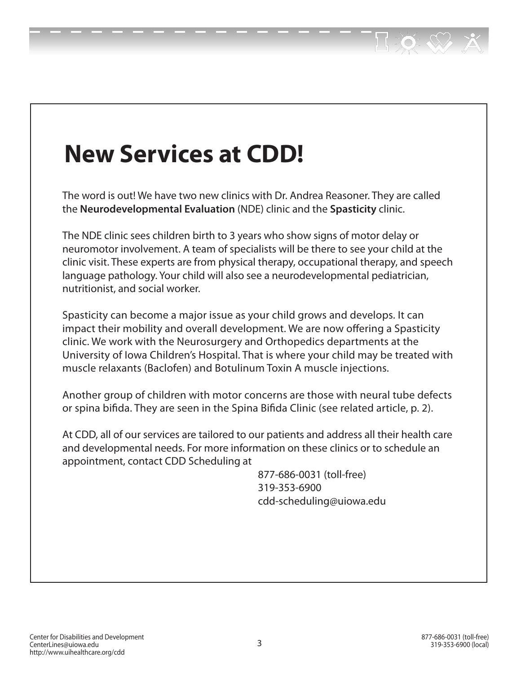# **New Services at CDD!**

The word is out! We have two new clinics with Dr. Andrea Reasoner. They are called the **Neurodevelopmental Evaluation** (NDE) clinic and the **Spasticity** clinic.

The NDE clinic sees children birth to 3 years who show signs of motor delay or neuromotor involvement. A team of specialists will be there to see your child at the clinic visit. These experts are from physical therapy, occupational therapy, and speech language pathology. Your child will also see a neurodevelopmental pediatrician, nutritionist, and social worker.

Spasticity can become a major issue as your child grows and develops. It can impact their mobility and overall development. We are now offering a Spasticity clinic. We work with the Neurosurgery and Orthopedics departments at the University of Iowa Children's Hospital. That is where your child may be treated with muscle relaxants (Baclofen) and Botulinum Toxin A muscle injections.

Another group of children with motor concerns are those with neural tube defects or spina bifida. They are seen in the Spina Bifida Clinic (see related article, p. 2).

At CDD, all of our services are tailored to our patients and address all their health care and developmental needs. For more information on these clinics or to schedule an appointment, contact CDD Scheduling at

> 877-686-0031 (toll-free) 319-353-6900 cdd-scheduling@uiowa.edu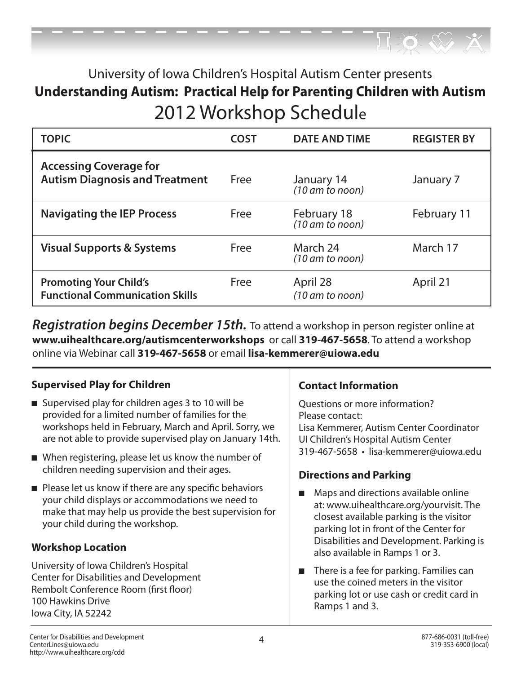### University of Iowa Children's Hospital Autism Center presents **Understanding Autism: Practical Help for Parenting Children with Autism** 2012 Workshop Schedule

| <b>TOPIC</b>                                                            | <b>COST</b> | <b>DATE AND TIME</b>                     | <b>REGISTER BY</b> |
|-------------------------------------------------------------------------|-------------|------------------------------------------|--------------------|
| <b>Accessing Coverage for</b><br><b>Autism Diagnosis and Treatment</b>  | Free        | January 14<br>$(10 \text{ am to noon})$  | January 7          |
| <b>Navigating the IEP Process</b>                                       | Free        | February 18<br>$(10 \text{ am to noon})$ | February 11        |
| <b>Visual Supports &amp; Systems</b>                                    | Free        | March 24<br>$(10 \text{ am to noon})$    | March 17           |
| <b>Promoting Your Child's</b><br><b>Functional Communication Skills</b> | Free        | April 28<br>(10 am to noon)              | April 21           |

*Registration begins December 15th.* To attend a workshop in person register online at **www.uihealthcare.org/autismcenterworkshops** or call **319-467-5658**. To attend a workshop online via Webinar call **319-467-5658** or email **lisa-kemmerer@uiowa.edu**

### **Supervised Play for Children**

- Supervised play for children ages 3 to 10 will be provided for a limited number of families for the workshops held in February, March and April. Sorry, we are not able to provide supervised play on January 14th.
- $\blacksquare$  When registering, please let us know the number of children needing supervision and their ages.
- $\blacksquare$  Please let us know if there are any specific behaviors your child displays or accommodations we need to make that may help us provide the best supervision for your child during the workshop.

### **Workshop Location**

University of Iowa Children's Hospital Center for Disabilities and Development Rembolt Conference Room (first floor) 100 Hawkins Drive Iowa City, IA 52242

### **Contact Information**

Questions or more information? Please contact: Lisa Kemmerer, Autism Center Coordinator UI Children's Hospital Autism Center 319-467-5658 • lisa-kemmerer@uiowa.edu

### **Directions and Parking**

- $\blacksquare$  Maps and directions available online at: www.uihealthcare.org/yourvisit. The closest available parking is the visitor parking lot in front of the Center for Disabilities and Development. Parking is also available in Ramps 1 or 3.
- $\blacksquare$  There is a fee for parking. Families can use the coined meters in the visitor parking lot or use cash or credit card in Ramps 1 and 3.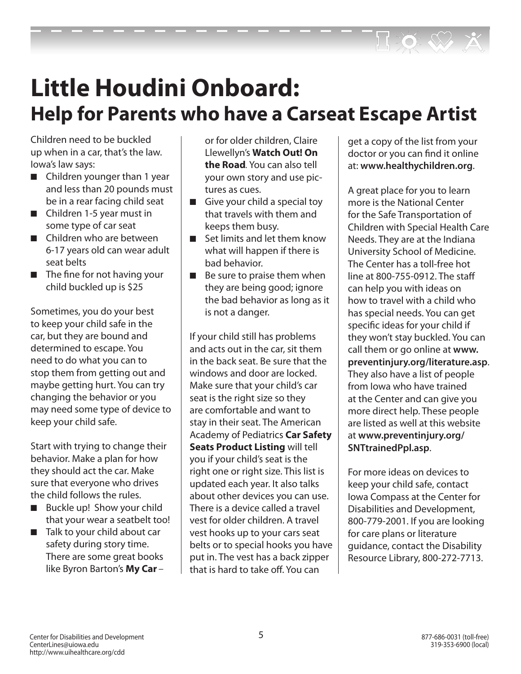## **Little Houdini Onboard: Help for Parents who have a Carseat Escape Artist**

Children need to be buckled up when in a car, that's the law. Iowa's law says:

- $\blacksquare$  Children younger than 1 year and less than 20 pounds must be in a rear facing child seat
- $\blacksquare$  Children 1-5 year must in some type of car seat
- $\blacksquare$  Children who are between 6-17 years old can wear adult seat belts
- $\blacksquare$  The fine for not having your child buckled up is \$25

Sometimes, you do your best to keep your child safe in the car, but they are bound and determined to escape. You need to do what you can to stop them from getting out and maybe getting hurt. You can try changing the behavior or you may need some type of device to keep your child safe.

Start with trying to change their behavior. Make a plan for how they should act the car. Make sure that everyone who drives the child follows the rules.

- Buckle up! Show your child that your wear a seatbelt too!
- $\blacksquare$  Talk to your child about car safety during story time. There are some great books like Byron Barton's **My Car** *–*

or for older children, Claire Llewellyn's **Watch Out! On the Road***.* You can also tell your own story and use pictures as cues.

- $\blacksquare$  Give your child a special toy that travels with them and keeps them busy.
- $\blacksquare$  Set limits and let them know what will happen if there is bad behavior.
- $\blacksquare$  Be sure to praise them when they are being good; ignore the bad behavior as long as it is not a danger.

If your child still has problems and acts out in the car, sit them in the back seat. Be sure that the windows and door are locked. Make sure that your child's car seat is the right size so they are comfortable and want to stay in their seat. The American Academy of Pediatrics **Car Safety Seats Product Listing** will tell you if your child's seat is the right one or right size. This list is updated each year. It also talks about other devices you can use. There is a device called a travel vest for older children. A travel vest hooks up to your cars seat belts or to special hooks you have put in. The vest has a back zipper that is hard to take off. You can

get a copy of the list from your doctor or you can find it online at: **www.healthychildren.org**.

A great place for you to learn more is the National Center for the Safe Transportation of Children with Special Health Care Needs. They are at the Indiana University School of Medicine. The Center has a toll-free hot line at 800-755-0912. The staff can help you with ideas on how to travel with a child who has special needs. You can get specific ideas for your child if they won't stay buckled. You can call them or go online at **www. preventinjury.org/literature.asp**. They also have a list of people from Iowa who have trained at the Center and can give you more direct help. These people are listed as well at this website at **www.preventinjury.org/ SNTtrainedPpl.asp**.

For more ideas on devices to keep your child safe, contact Iowa Compass at the Center for Disabilities and Development, 800-779-2001. If you are looking for care plans or literature guidance, contact the Disability Resource Library, 800-272-7713.